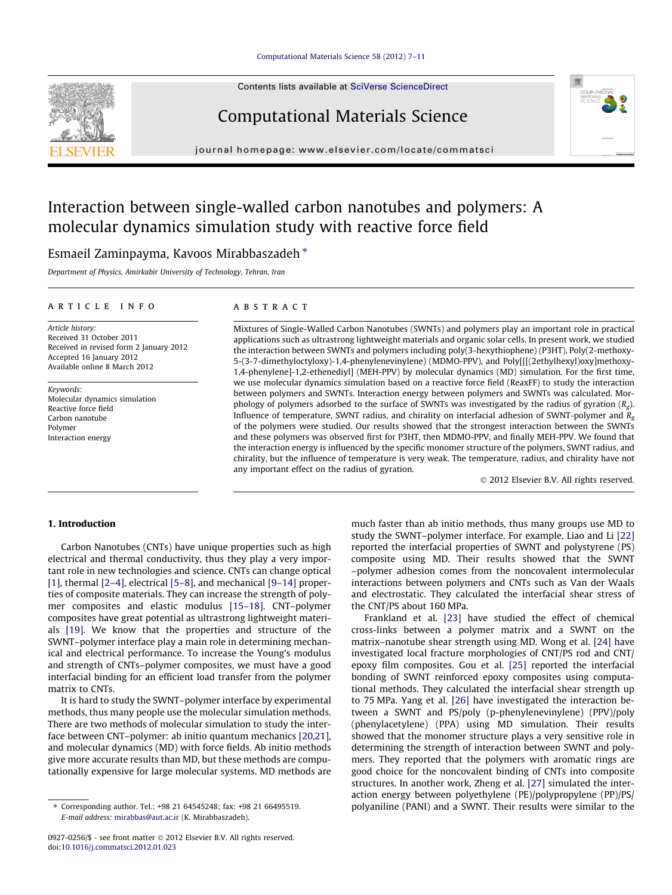#### [Computational Materials Science 58 \(2012\) 7–11](http://dx.doi.org/10.1016/j.commatsci.2012.01.023)

Contents lists available at [SciVerse ScienceDirect](http://www.sciencedirect.com/science/journal/09270256)

# Computational Materials Science

journal homepage: [www.elsevier.com/locate/commatsci](http://www.elsevier.com/locate/commatsci)

# Interaction between single-walled carbon nanotubes and polymers: A molecular dynamics simulation study with reactive force field

## Esmaeil Zaminpayma, Kavoos Mirabbaszadeh\*

Department of Physics, Amirkabir University of Technology, Tehran, Iran

#### article info

Article history: Received 31 October 2011 Received in revised form 2 January 2012 Accepted 16 January 2012 Available online 8 March 2012

Keywords: Molecular dynamics simulation Reactive force field Carbon nanotube Polymer Interaction energy

#### **ABSTRACT**

Mixtures of Single-Walled Carbon Nanotubes (SWNTs) and polymers play an important role in practical applications such as ultrastrong lightweight materials and organic solar cells. In present work, we studied the interaction between SWNTs and polymers including poly(3-hexythiophene) (P3HT), Poly(2-methoxy-5-(3-7-dimethyloctyloxy)-1,4-phenylenevinylene) (MDMO-PPV), and Poly[[[(2ethylhexyl)oxy]methoxy-1,4-phenylene]-1,2-ethenediyl] (MEH-PPV) by molecular dynamics (MD) simulation. For the first time, we use molecular dynamics simulation based on a reactive force field (ReaxFF) to study the interaction between polymers and SWNTs. Interaction energy between polymers and SWNTs was calculated. Morphology of polymers adsorbed to the surface of SWNTs was investigated by the radius of gyration  $(R_g)$ . Influence of temperature, SWNT radius, and chirality on interfacial adhesion of SWNT-polymer and  $R_{\alpha}$ of the polymers were studied. Our results showed that the strongest interaction between the SWNTs and these polymers was observed first for P3HT, then MDMO-PPV, and finally MEH-PPV. We found that the interaction energy is influenced by the specific monomer structure of the polymers, SWNT radius, and chirality, but the influence of temperature is very weak. The temperature, radius, and chirality have not any important effect on the radius of gyration.

- 2012 Elsevier B.V. All rights reserved.

#### 1. Introduction

Carbon Nanotubes (CNTs) have unique properties such as high electrical and thermal conductivity, thus they play a very important role in new technologies and science. CNTs can change optical [\[1\]](#page--1-0), thermal [\[2–4\]](#page--1-0), electrical [\[5–8\]](#page--1-0), and mechanical [\[9–14\]](#page--1-0) properties of composite materials. They can increase the strength of polymer composites and elastic modulus [\[15–18\]](#page--1-0). CNT–polymer composites have great potential as ultrastrong lightweight materials [\[19\].](#page--1-0) We know that the properties and structure of the SWNT–polymer interface play a main role in determining mechanical and electrical performance. To increase the Young's modulus and strength of CNTs–polymer composites, we must have a good interfacial binding for an efficient load transfer from the polymer matrix to CNTs.

It is hard to study the SWNT–polymer interface by experimental methods, thus many people use the molecular simulation methods. There are two methods of molecular simulation to study the interface between CNT–polymer: ab initio quantum mechanics [\[20,21\],](#page--1-0) and molecular dynamics (MD) with force fields. Ab initio methods give more accurate results than MD, but these methods are computationally expensive for large molecular systems. MD methods are

much faster than ab initio methods, thus many groups use MD to study the SWNT–polymer interface. For example, Liao and Li [\[22\]](#page--1-0) reported the interfacial properties of SWNT and polystyrene (PS) composite using MD. Their results showed that the SWNT –polymer adhesion comes from the noncovalent intermolecular interactions between polymers and CNTs such as Van der Waals and electrostatic. They calculated the interfacial shear stress of the CNT/PS about 160 MPa.

Frankland et al. [\[23\]](#page--1-0) have studied the effect of chemical cross-links between a polymer matrix and a SWNT on the matrix–nanotube shear strength using MD. Wong et al. [\[24\]](#page--1-0) have investigated local fracture morphologies of CNT/PS rod and CNT/ epoxy film composites. Gou et al. [\[25\]](#page--1-0) reported the interfacial bonding of SWNT reinforced epoxy composites using computational methods. They calculated the interfacial shear strength up to 75 MPa. Yang et al. [\[26\]](#page--1-0) have investigated the interaction between a SWNT and PS/poly (p-phenylenevinylene) (PPV)/poly (phenylacetylene) (PPA) using MD simulation. Their results showed that the monomer structure plays a very sensitive role in determining the strength of interaction between SWNT and polymers. They reported that the polymers with aromatic rings are good choice for the noncovalent binding of CNTs into composite structures. In another work, Zheng et al. [\[27\]](#page--1-0) simulated the interaction energy between polyethylene (PE)/polypropylene (PP)/PS/ polyaniline (PANI) and a SWNT. Their results were similar to the





<sup>⇑</sup> Corresponding author. Tel.: +98 21 64545248; fax: +98 21 66495519. E-mail address: [mirabbas@aut.ac.ir](mailto:mirabbas@aut.ac.ir) (K. Mirabbaszadeh).

<sup>0927-0256/\$ -</sup> see front matter © 2012 Elsevier B.V. All rights reserved. doi[:10.1016/j.commatsci.2012.01.023](http://dx.doi.org/10.1016/j.commatsci.2012.01.023)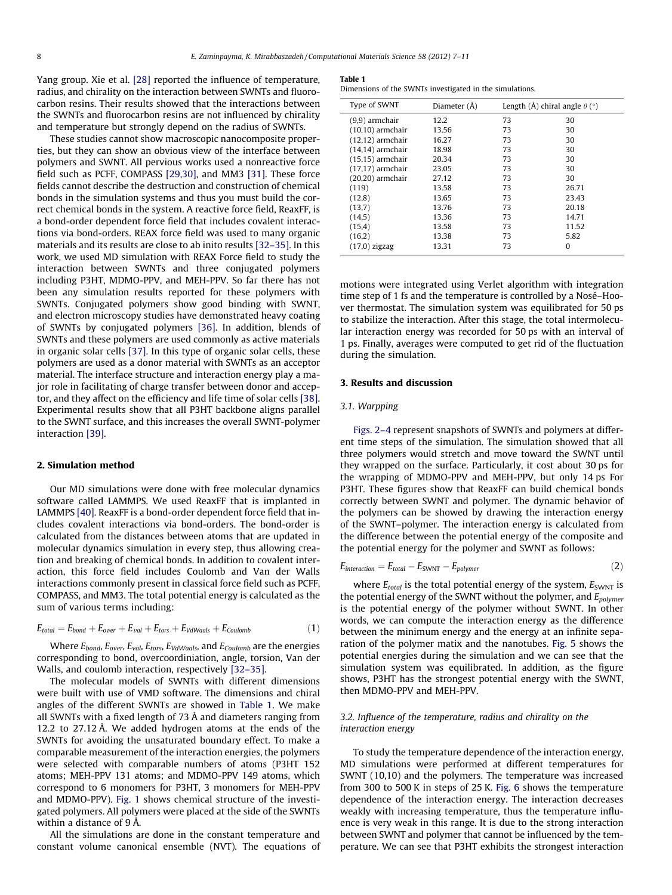Yang group. Xie et al. [\[28\]](#page--1-0) reported the influence of temperature, radius, and chirality on the interaction between SWNTs and fluorocarbon resins. Their results showed that the interactions between the SWNTs and fluorocarbon resins are not influenced by chirality and temperature but strongly depend on the radius of SWNTs.

These studies cannot show macroscopic nanocomposite properties, but they can show an obvious view of the interface between polymers and SWNT. All pervious works used a nonreactive force field such as PCFF, COMPASS [\[29,30\],](#page--1-0) and MM3 [\[31\].](#page--1-0) These force fields cannot describe the destruction and construction of chemical bonds in the simulation systems and thus you must build the correct chemical bonds in the system. A reactive force field, ReaxFF, is a bond-order dependent force field that includes covalent interactions via bond-orders. REAX force field was used to many organic materials and its results are close to ab inito results [\[32–35\]](#page--1-0). In this work, we used MD simulation with REAX Force field to study the interaction between SWNTs and three conjugated polymers including P3HT, MDMO-PPV, and MEH-PPV. So far there has not been any simulation results reported for these polymers with SWNTs. Conjugated polymers show good binding with SWNT, and electron microscopy studies have demonstrated heavy coating of SWNTs by conjugated polymers [\[36\].](#page--1-0) In addition, blends of SWNTs and these polymers are used commonly as active materials in organic solar cells [\[37\]](#page--1-0). In this type of organic solar cells, these polymers are used as a donor material with SWNTs as an acceptor material. The interface structure and interaction energy play a major role in facilitating of charge transfer between donor and acceptor, and they affect on the efficiency and life time of solar cells [\[38\].](#page--1-0) Experimental results show that all P3HT backbone aligns parallel to the SWNT surface, and this increases the overall SWNT-polymer interaction [\[39\]](#page--1-0).

#### 2. Simulation method

Our MD simulations were done with free molecular dynamics software called LAMMPS. We used ReaxFF that is implanted in LAMMPS [\[40\].](#page--1-0) ReaxFF is a bond-order dependent force field that includes covalent interactions via bond-orders. The bond-order is calculated from the distances between atoms that are updated in molecular dynamics simulation in every step, thus allowing creation and breaking of chemical bonds. In addition to covalent interaction, this force field includes Coulomb and Van der Walls interactions commonly present in classical force field such as PCFF, COMPASS, and MM3. The total potential energy is calculated as the sum of various terms including:

$$
E_{total} = E_{bond} + E_{over} + E_{val} + E_{tors} + E_{VdWaals} + E_{Coulomb}
$$
\n(1)

Where  $E_{bond}$ ,  $E_{over}$ ,  $E_{val}$ ,  $E_{tors}$ ,  $E_{VdWaals}$ , and  $E_{Coulomb}$  are the energies corresponding to bond, overcoordiniation, angle, torsion, Van der Walls, and coulomb interaction, respectively [\[32–35\]](#page--1-0).

The molecular models of SWNTs with different dimensions were built with use of VMD software. The dimensions and chiral angles of the different SWNTs are showed in Table 1. We make all SWNTs with a fixed length of 73 Å and diameters ranging from 12.2 to 27.12 Å. We added hydrogen atoms at the ends of the SWNTs for avoiding the unsaturated boundary effect. To make a comparable measurement of the interaction energies, the polymers were selected with comparable numbers of atoms (P3HT 152 atoms; MEH-PPV 131 atoms; and MDMO-PPV 149 atoms, which correspond to 6 monomers for P3HT, 3 monomers for MEH-PPV and MDMO-PPV). [Fig. 1](#page--1-0) shows chemical structure of the investigated polymers. All polymers were placed at the side of the SWNTs within a distance of 9 Å.

All the simulations are done in the constant temperature and constant volume canonical ensemble (NVT). The equations of

#### Table 1

Dimensions of the SWNTs investigated in the simulations.

| Type of SWNT        | Diameter (Å) | Length (Å) chiral angle $\theta$ ( $\degree$ ) |       |
|---------------------|--------------|------------------------------------------------|-------|
| (9,9) armchair      | 12.2         | 73                                             | 30    |
| $(10,10)$ armchair  | 13.56        | 73                                             | 30    |
| $(12,12)$ armchair  | 16.27        | 73                                             | 30    |
| $(14, 14)$ armchair | 18.98        | 73                                             | 30    |
| $(15,15)$ armchair  | 20.34        | 73                                             | 30    |
| $(17,17)$ armchair  | 23.05        | 73                                             | 30    |
| $(20,20)$ armchair  | 27.12        | 73                                             | 30    |
| (119)               | 13.58        | 73                                             | 26.71 |
| (12,8)              | 13.65        | 73                                             | 23.43 |
| (13,7)              | 13.76        | 73                                             | 20.18 |
| (14,5)              | 13.36        | 73                                             | 14.71 |
| (15,4)              | 13.58        | 73                                             | 11.52 |
| (16,2)              | 13.38        | 73                                             | 5.82  |
| $(17,0)$ zigzag     | 13.31        | 73                                             | 0     |

motions were integrated using Verlet algorithm with integration time step of 1 fs and the temperature is controlled by a Nosé–Hoover thermostat. The simulation system was equilibrated for 50 ps to stabilize the interaction. After this stage, the total intermolecular interaction energy was recorded for 50 ps with an interval of 1 ps. Finally, averages were computed to get rid of the fluctuation during the simulation.

### 3. Results and discussion

#### 3.1. Warpping

[Figs. 2–4](#page--1-0) represent snapshots of SWNTs and polymers at different time steps of the simulation. The simulation showed that all three polymers would stretch and move toward the SWNT until they wrapped on the surface. Particularly, it cost about 30 ps for the wrapping of MDMO-PPV and MEH-PPV, but only 14 ps For P3HT. These figures show that ReaxFF can build chemical bonds correctly between SWNT and polymer. The dynamic behavior of the polymers can be showed by drawing the interaction energy of the SWNT–polymer. The interaction energy is calculated from the difference between the potential energy of the composite and the potential energy for the polymer and SWNT as follows:

$$
E_{interaction} = E_{total} - E_{SWNT} - E_{polymer}
$$
 (2)

where  $E_{total}$  is the total potential energy of the system,  $E_{SWNT}$  is the potential energy of the SWNT without the polymer, and  $E_{polymer}$ is the potential energy of the polymer without SWNT. In other words, we can compute the interaction energy as the difference between the minimum energy and the energy at an infinite separation of the polymer matix and the nanotubes. [Fig. 5](#page--1-0) shows the potential energies during the simulation and we can see that the simulation system was equilibrated. In addition, as the figure shows, P3HT has the strongest potential energy with the SWNT, then MDMO-PPV and MEH-PPV.

## 3.2. Influence of the temperature, radius and chirality on the interaction energy

To study the temperature dependence of the interaction energy, MD simulations were performed at different temperatures for SWNT (10,10) and the polymers. The temperature was increased from 300 to 500 K in steps of 25 K. [Fig. 6](#page--1-0) shows the temperature dependence of the interaction energy. The interaction decreases weakly with increasing temperature, thus the temperature influence is very weak in this range. It is due to the strong interaction between SWNT and polymer that cannot be influenced by the temperature. We can see that P3HT exhibits the strongest interaction